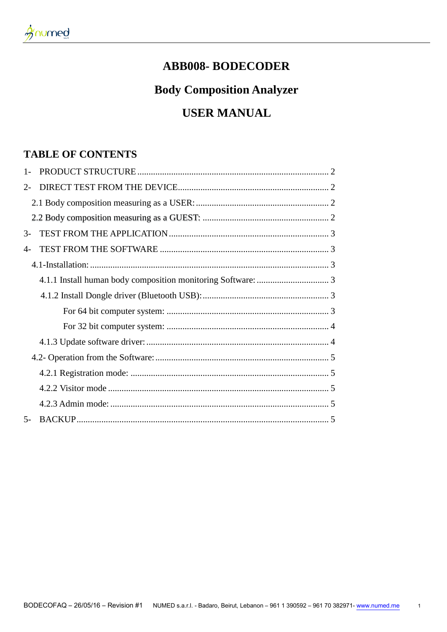# **ABB008-BODECODER**

# **Body Composition Analyzer**

# **USER MANUAL**

# **TABLE OF CONTENTS**

| $1 -$         |  |  |
|---------------|--|--|
| $2-$          |  |  |
|               |  |  |
|               |  |  |
| $\mathcal{Z}$ |  |  |
| $4-$          |  |  |
|               |  |  |
|               |  |  |
|               |  |  |
|               |  |  |
|               |  |  |
|               |  |  |
|               |  |  |
|               |  |  |
|               |  |  |
|               |  |  |
| $5-$          |  |  |

 $\overline{1}$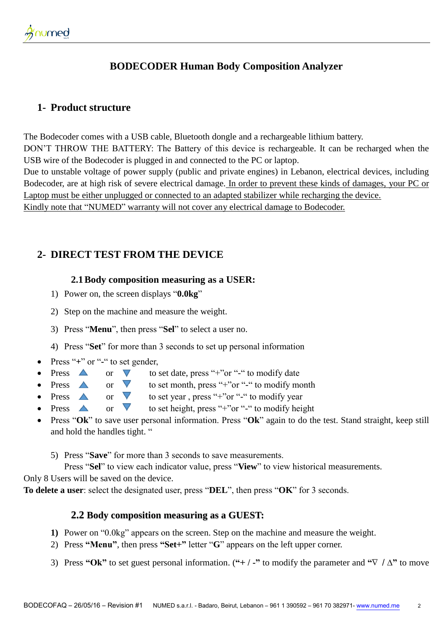# **BODECODER Human Body Composition Analyzer**

### <span id="page-1-0"></span>**1- Product structure**

The Bodecoder comes with a USB cable, Bluetooth dongle and a rechargeable lithium battery. DON'T THROW THE BATTERY: The Battery of this device is rechargeable. It can be recharged when the USB wire of the Bodecoder is plugged in and connected to the PC or laptop. Due to unstable voltage of power supply (public and private engines) in Lebanon, electrical devices, including Bodecoder, are at high risk of severe electrical damage. In order to prevent these kinds of damages, your PC or Laptop must be either unplugged or connected to an adapted stabilizer while recharging the device. Kindly note that "NUMED" warranty will not cover any electrical damage to Bodecoder.

## <span id="page-1-2"></span><span id="page-1-1"></span>**2- DIRECT TEST FROM THE DEVICE**

#### **2.1Body composition measuring as a USER:**

- 1) Power on, the screen displays "**0.0kg**"
- 2) Step on the machine and measure the weight.
- 3) Press "**Menu**", then press "**Sel**" to select a user no.
- 4) Press "**Set**" for more than 3 seconds to set up personal information
- Press "**+**" or "**-**" to set gender,
	- Press  $\triangle$  or  $\nabla$  to set date, press "+"or "-" to modify date
- Press  $\triangle$  or  $\triangledown$  to set month, press "+"or "-" to modify month
- Press  $\triangle$  or  $\triangledown$  to set year , press "+"or "-" to modify year
- Press  $\triangle$  or  $\nabla$  to set height, press "+"or "-" to modify height
- Press "**Ok**" to save user personal information. Press "**Ok**" again to do the test. Stand straight, keep still and hold the handles tight. "
	- 5) Press "**Save**" for more than 3 seconds to save measurements.

 Press "**Sel**" to view each indicator value, press "**View**" to view historical measurements. Only 8 Users will be saved on the device.

<span id="page-1-3"></span>**To delete a user**: select the designated user, press "**DEL**", then press "**OK**" for 3 seconds.

#### **2.2 Body composition measuring as a GUEST:**

- **1)** Power on "0.0kg" appears on the screen. Step on the machine and measure the weight.
- 2) Press **"Menu"**, then press **"Set+"** letter "**G**" appears on the left upper corner.
- 3) Press **"Ok"** to set guest personal information. (**"+ / -"** to modify the parameter and **"**∇ / **∆"** to move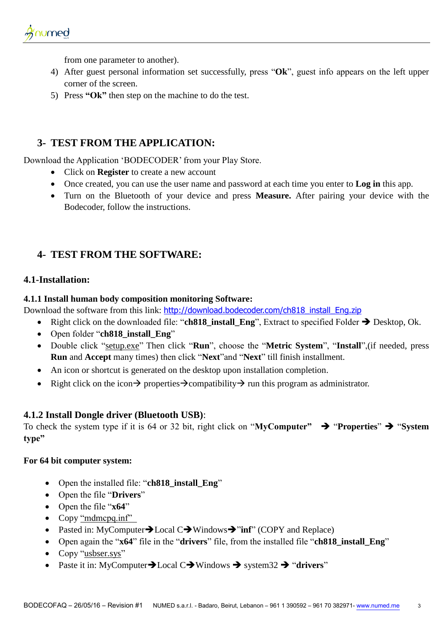from one parameter to another).

- 4) After guest personal information set successfully, press "**Ok**", guest info appears on the left upper corner of the screen.
- 5) Press **"Ok"** then step on the machine to do the test.

## <span id="page-2-0"></span>**3- TEST FROM THE APPLICATION:**

Download the Application 'BODECODER' from your Play Store.

- Click on **Register** to create a new account
- Once created, you can use the user name and password at each time you enter to **Log in** this app.
- Turn on the Bluetooth of your device and press **Measure.** After pairing your device with the Bodecoder, follow the instructions.

# <span id="page-2-1"></span>**4- TEST FROM THE SOFTWARE:**

#### <span id="page-2-2"></span>**4.1-Installation:**

#### <span id="page-2-3"></span>**4.1.1 Install human body composition monitoring Software:**

Download the software from this link: [http://download.bodecoder.com/ch818\\_install\\_Eng.zip](http://download.bodecoder.com/ch818_install_Eng.zip)

- Right click on the downloaded file: "**ch818\_install\_Eng**", Extract to specified Folder **→** Desktop, Ok.
- Open folder "ch818 install Eng"
- Double click "setup.exe" Then click "**Run**", choose the "**Metric System**", "**Install**",(if needed, press **Run** and **Accept** many times) then click "**Next**"and "**Next**" till finish installment.
- An icon or shortcut is generated on the desktop upon installation completion.
- Right click on the icon  $\rightarrow$  properties  $\rightarrow$  compatibility  $\rightarrow$  run this program as administrator.

#### <span id="page-2-4"></span>**4.1.2 Install Dongle driver (Bluetooth USB)**:

<span id="page-2-5"></span>To check the system type if it is 64 or 32 bit, right click on "**MyComputer"**  $\rightarrow$  "**Properties**"  $\rightarrow$  "**System type"**

#### **For 64 bit computer system:**

- Open the installed file: "**ch818\_install\_Eng**"
- Open the file "**Drivers**"
- Open the file "**x64**"
- Copy "mdmcpq.inf"
- Pasted in: MyComputer**>**Local C>Windows>"inf" (COPY and Replace)
- Open again the "**x64**" file in the "**drivers**" file, from the installed file "**ch818\_install\_Eng**"
- Copy "usbser.sys"
- Paste it in: MyComputer $\rightarrow$  Local C $\rightarrow$  Windows  $\rightarrow$  system32  $\rightarrow$  "drivers"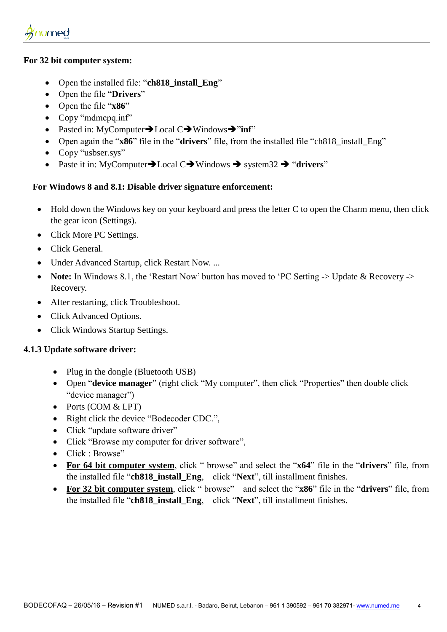#### <span id="page-3-0"></span>**For 32 bit computer system:**

- Open the installed file: "**ch818\_install\_Eng**"
- Open the file "**Drivers**"
- Open the file "**x86**"
- Copy "mdmcpq.inf"
- Pasted in: MyComputer $\rightarrow$  Local C $\rightarrow$  Windows $\rightarrow$ "inf"
- Open again the "**x86**" file in the "**drivers**" file, from the installed file "ch818\_install\_Eng"
- Copy "usbser.sys"
- Paste it in: MyComputer $\rightarrow$  Local C $\rightarrow$  Windows  $\rightarrow$  system32  $\rightarrow$  "drivers"

#### **For Windows 8 and 8.1: Disable driver signature enforcement:**

- Hold down the Windows key on your keyboard and press the letter C to open the Charm menu, then click the gear icon (Settings).
- Click More PC Settings.
- Click General.
- Under Advanced Startup, click Restart Now. ...
- **Note:** In Windows 8.1, the 'Restart Now' button has moved to 'PC Setting -> Update & Recovery -> Recovery.
- After restarting, click Troubleshoot.
- Click Advanced Options.
- Click Windows Startup Settings.

#### <span id="page-3-1"></span>**4.1.3 Update software driver:**

- Plug in the dongle (Bluetooth USB)
- Open "**device manager**" (right click "My computer", then click "Properties" then double click "device manager")
- Ports (COM & LPT)
- Right click the device "Bodecoder CDC.",
- Click "update software driver"
- Click "Browse my computer for driver software",
- Click · Browse"
- **For 64 bit computer system**, click " browse" and select the "**x64**" file in the "**drivers**" file, from the installed file "**ch818\_install\_Eng**, click "**Next**", till installment finishes.
- **For 32 bit computer system**, click " browse" and select the "**x86**" file in the "**drivers**" file, from the installed file "**ch818\_install\_Eng**, click "**Next**", till installment finishes.